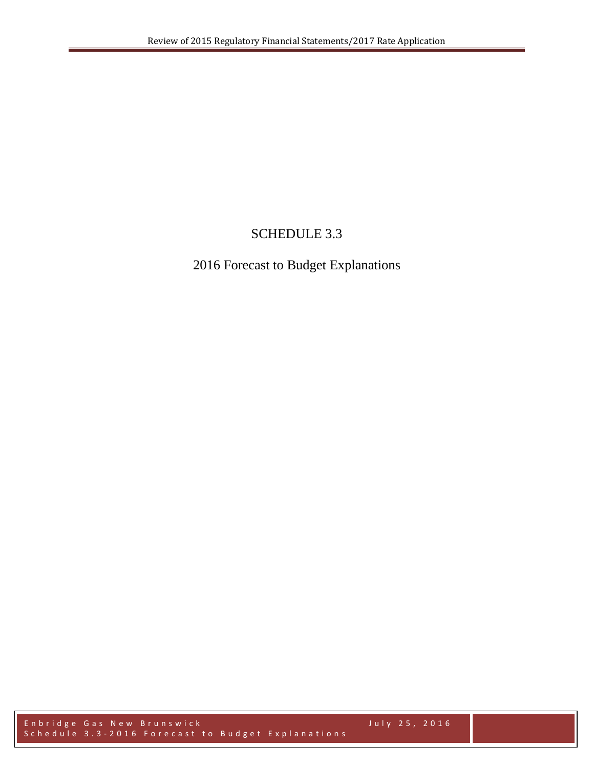# SCHEDULE 3.3

# 2016 Forecast to Budget Explanations

Enbridge Gas New Brunswick July 2 5 , 2016 Schedule 3.3-2016 Forecast to Budget Explanations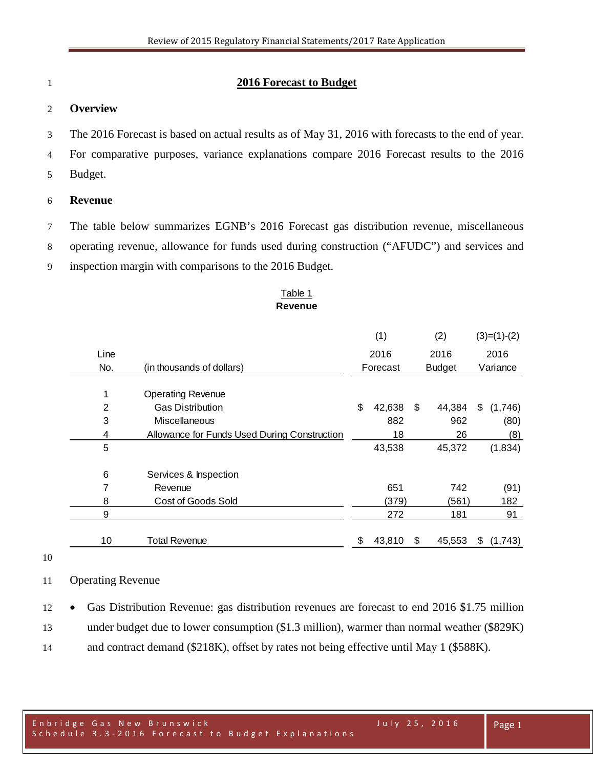### **2016 Forecast to Budget**

#### **Overview**

The 2016 Forecast is based on actual results as of May 31, 2016 with forecasts to the end of year.

- For comparative purposes, variance explanations compare 2016 Forecast results to the 2016
- Budget.

#### **Revenue**

 The table below summarizes EGNB's 2016 Forecast gas distribution revenue, miscellaneous operating revenue, allowance for funds used during construction ("AFUDC") and services and inspection margin with comparisons to the 2016 Budget.

#### Table 1 **Revenue**

|      |                                              | (1)  |          |    | (2)           | $(3)=(1)-(2)$ |          |
|------|----------------------------------------------|------|----------|----|---------------|---------------|----------|
| Line |                                              | 2016 |          |    | 2016          |               | 2016     |
| No.  | (in thousands of dollars)                    |      | Forecast |    | <b>Budget</b> |               | Variance |
| 1    | <b>Operating Revenue</b>                     |      |          |    |               |               |          |
| 2    | <b>Gas Distribution</b>                      | \$   | 42,638   | \$ | 44,384        | \$            | (1,746)  |
| 3    | Miscellaneous                                |      | 882      |    | 962           |               | (80)     |
| 4    | Allowance for Funds Used During Construction |      | 18       |    | 26            |               | (8)      |
| 5    |                                              |      | 43,538   |    | 45,372        |               | (1,834)  |
| 6    | Services & Inspection                        |      |          |    |               |               |          |
| 7    | Revenue                                      |      | 651      |    | 742           |               | (91)     |
| 8    | <b>Cost of Goods Sold</b>                    |      | (379)    |    | (561)         |               | 182      |
| 9    |                                              |      | 272      |    | 181           |               | 91       |
| 10   | <b>Total Revenue</b>                         | \$   | 43,810   | S  | 45,553        | \$            | (1,743)  |

#### Operating Revenue

 • Gas Distribution Revenue: gas distribution revenues are forecast to end 2016 \$1.75 million under budget due to lower consumption (\$1.3 million), warmer than normal weather (\$829K) and contract demand (\$218K), offset by rates not being effective until May 1 (\$588K).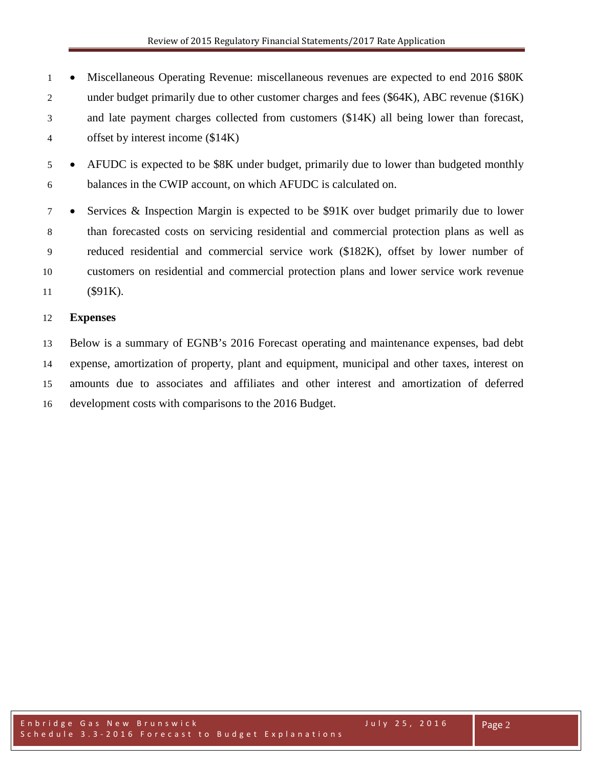• Miscellaneous Operating Revenue: miscellaneous revenues are expected to end 2016 \$80K under budget primarily due to other customer charges and fees (\$64K), ABC revenue (\$16K) and late payment charges collected from customers (\$14K) all being lower than forecast, offset by interest income (\$14K)

 • AFUDC is expected to be \$8K under budget, primarily due to lower than budgeted monthly balances in the CWIP account, on which AFUDC is calculated on.

 • Services & Inspection Margin is expected to be \$91K over budget primarily due to lower than forecasted costs on servicing residential and commercial protection plans as well as reduced residential and commercial service work (\$182K), offset by lower number of customers on residential and commercial protection plans and lower service work revenue (\$91K).

### **Expenses**

 Below is a summary of EGNB's 2016 Forecast operating and maintenance expenses, bad debt expense, amortization of property, plant and equipment, municipal and other taxes, interest on amounts due to associates and affiliates and other interest and amortization of deferred development costs with comparisons to the 2016 Budget.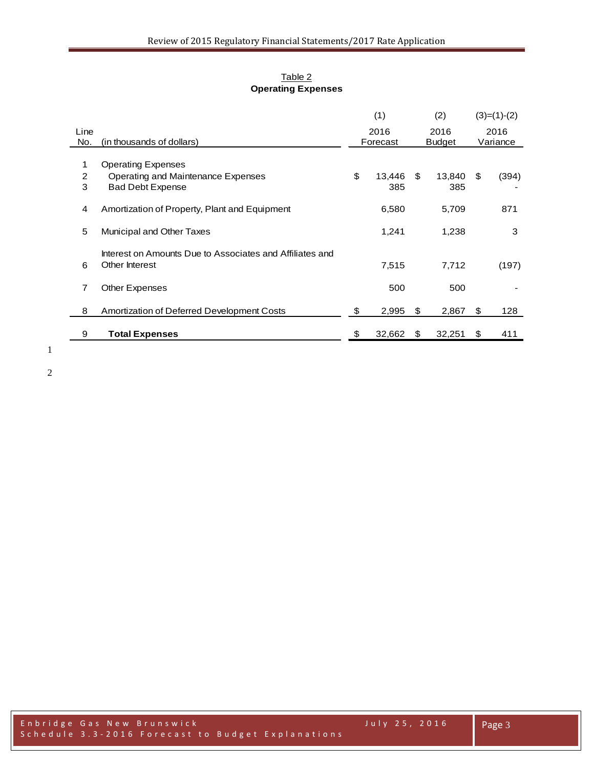#### Table 2 **Operating Expenses**

|      |                                                          | (1)          |    | (2)           |    | $(3)=(1)-(2)$ |
|------|----------------------------------------------------------|--------------|----|---------------|----|---------------|
| Line |                                                          | 2016         |    | 2016          |    | 2016          |
| No.  | (in thousands of dollars)                                | Forecast     |    | <b>Budget</b> |    | Variance      |
| 1    | <b>Operating Expenses</b>                                |              |    |               |    |               |
| 2    | Operating and Maintenance Expenses                       | \$<br>13,446 | \$ | 13,840        | \$ | (394)         |
| 3    | <b>Bad Debt Expense</b>                                  | 385          |    | 385           |    |               |
|      |                                                          |              |    |               |    |               |
| 4    | Amortization of Property, Plant and Equipment            | 6,580        |    | 5,709         |    | 871           |
|      |                                                          |              |    |               |    |               |
| 5    | Municipal and Other Taxes                                | 1,241        |    | 1,238         |    | 3             |
|      |                                                          |              |    |               |    |               |
|      | Interest on Amounts Due to Associates and Affiliates and |              |    |               |    |               |
| 6    | Other Interest                                           | 7,515        |    | 7.712         |    | (197)         |
|      |                                                          |              |    |               |    |               |
| 7    | Other Expenses                                           | 500          |    | 500           |    |               |
|      |                                                          |              |    |               |    |               |
| 8    | Amortization of Deferred Development Costs               | \$<br>2,995  | \$ | 2,867         | \$ | 128           |
|      |                                                          |              |    |               |    |               |
| 9    | <b>Total Expenses</b>                                    | \$<br>32,662 | S  | 32,251        | S  | 411           |
|      |                                                          |              |    |               |    |               |

1

2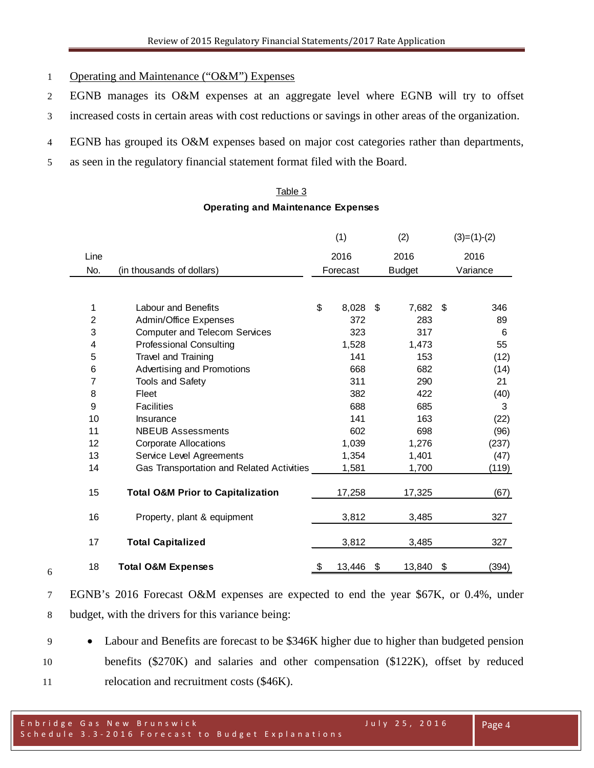- Operating and Maintenance ("O&M") Expenses
- EGNB manages its O&M expenses at an aggregate level where EGNB will try to offset
- increased costs in certain areas with cost reductions or savings in other areas of the organization.
- EGNB has grouped its O&M expenses based on major cost categories rather than departments,
- as seen in the regulatory financial statement format filed with the Board.

### Table 3 **Operating and Maintenance Expenses**

|                |                                              | (1)<br>(2)                |        |    | $(3)=(1)-(2)$ |          |       |
|----------------|----------------------------------------------|---------------------------|--------|----|---------------|----------|-------|
| Line           |                                              | 2016<br>2016              |        |    | 2016          |          |       |
| No.            | (in thousands of dollars)                    | Forecast<br><b>Budget</b> |        |    |               | Variance |       |
|                |                                              |                           |        |    |               |          |       |
| 1              | <b>Labour and Benefits</b>                   | \$                        | 8,028  | \$ | 7,682         | -\$      | 346   |
| $\overline{c}$ | Admin/Office Expenses                        |                           | 372    |    | 283           |          | 89    |
| 3              | <b>Computer and Telecom Services</b>         |                           | 323    |    | 317           |          | 6     |
| 4              | <b>Professional Consulting</b>               |                           | 1,528  |    | 1,473         |          | 55    |
| 5              | Travel and Training                          |                           | 141    |    | 153           |          | (12)  |
| 6              | Advertising and Promotions                   |                           | 668    |    | 682           |          | (14)  |
| 7              | Tools and Safety                             |                           | 311    |    | 290           |          | 21    |
| 8              | Fleet                                        |                           | 382    |    | 422           |          | (40)  |
| 9              | <b>Facilities</b>                            |                           | 688    |    | 685           |          | 3     |
| 10             | Insurance                                    |                           | 141    |    | 163           |          | (22)  |
| 11             | <b>NBEUB Assessments</b>                     |                           | 602    |    | 698           |          | (96)  |
| 12             | <b>Corporate Allocations</b>                 |                           | 1,039  |    | 1,276         |          | (237) |
| 13             | Service Level Agreements                     |                           | 1,354  |    | 1,401         |          | (47)  |
| 14             | Gas Transportation and Related Activities    |                           | 1,581  |    | 1,700         |          | (119) |
|                |                                              |                           |        |    |               |          |       |
| 15             | <b>Total O&amp;M Prior to Capitalization</b> |                           | 17,258 |    | 17,325        |          | (67)  |
|                |                                              |                           |        |    |               |          |       |
| 16             | Property, plant & equipment                  |                           | 3,812  |    | 3,485         |          | 327   |
| 17             | <b>Total Capitalized</b>                     |                           | 3,812  |    | 3,485         |          | 327   |
|                |                                              |                           |        |    |               |          |       |
| 18             | <b>Total O&amp;M Expenses</b>                | S                         | 13,446 | \$ | 13,840        | \$       | (394) |

 EGNB's 2016 Forecast O&M expenses are expected to end the year \$67K, or 0.4%, under budget, with the drivers for this variance being:

 • Labour and Benefits are forecast to be \$346K higher due to higher than budgeted pension benefits (\$270K) and salaries and other compensation (\$122K), offset by reduced 11 relocation and recruitment costs (\$46K).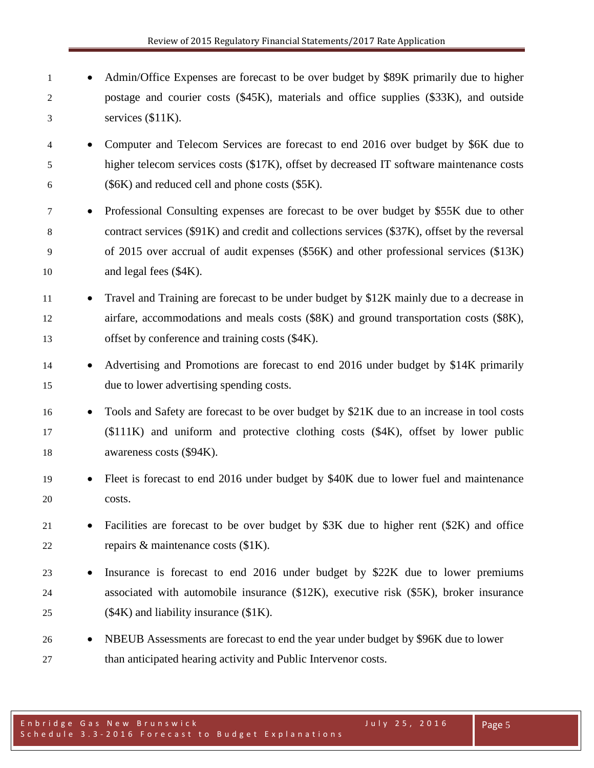- 1 Admin/Office Expenses are forecast to be over budget by \$89K primarily due to higher postage and courier costs (\$45K), materials and office supplies (\$33K), and outside services (\$11K).
- Computer and Telecom Services are forecast to end 2016 over budget by \$6K due to higher telecom services costs (\$17K), offset by decreased IT software maintenance costs (\$6K) and reduced cell and phone costs (\$5K).
- Professional Consulting expenses are forecast to be over budget by \$55K due to other contract services (\$91K) and credit and collections services (\$37K), offset by the reversal of 2015 over accrual of audit expenses (\$56K) and other professional services (\$13K) 10 and legal fees (\$4K).
- 11 Travel and Training are forecast to be under budget by \$12K mainly due to a decrease in airfare, accommodations and meals costs (\$8K) and ground transportation costs (\$8K), 13 offset by conference and training costs (\$4K).
- 14 Advertising and Promotions are forecast to end 2016 under budget by \$14K primarily due to lower advertising spending costs.
- Tools and Safety are forecast to be over budget by \$21K due to an increase in tool costs (\$111K) and uniform and protective clothing costs (\$4K), offset by lower public awareness costs (\$94K).
- Fleet is forecast to end 2016 under budget by \$40K due to lower fuel and maintenance costs.
- Facilities are forecast to be over budget by \$3K due to higher rent (\$2K) and office repairs & maintenance costs (\$1K).
- Insurance is forecast to end 2016 under budget by \$22K due to lower premiums associated with automobile insurance (\$12K), executive risk (\$5K), broker insurance 25 ( $$4K$ ) and liability insurance ( $$1K$ ).
- <sup>26</sup> NBEUB Assessments are forecast to end the year under budget by \$96K due to lower than anticipated hearing activity and Public Intervenor costs.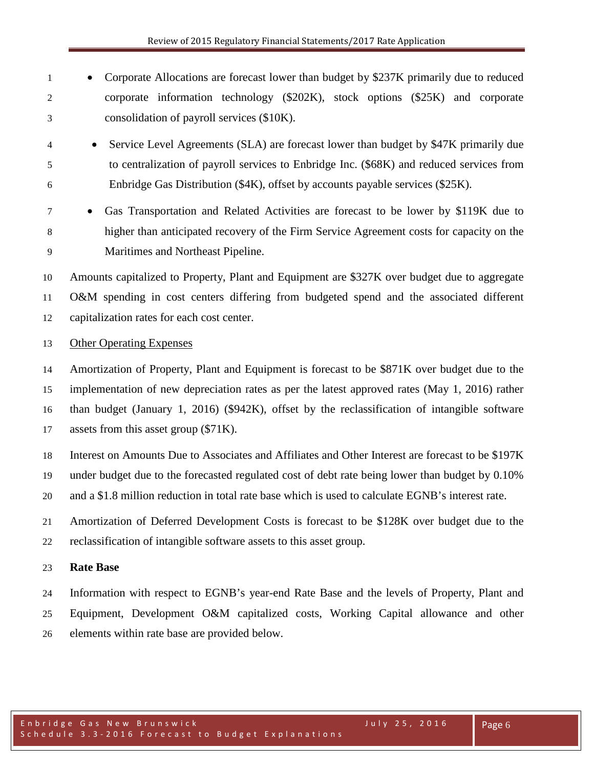- 1 Corporate Allocations are forecast lower than budget by \$237K primarily due to reduced corporate information technology (\$202K), stock options (\$25K) and corporate consolidation of payroll services (\$10K).
- Service Level Agreements (SLA) are forecast lower than budget by \$47K primarily due to centralization of payroll services to Enbridge Inc. (\$68K) and reduced services from Enbridge Gas Distribution (\$4K), offset by accounts payable services (\$25K).
- Gas Transportation and Related Activities are forecast to be lower by \$119K due to higher than anticipated recovery of the Firm Service Agreement costs for capacity on the Maritimes and Northeast Pipeline.

 Amounts capitalized to Property, Plant and Equipment are \$327K over budget due to aggregate O&M spending in cost centers differing from budgeted spend and the associated different capitalization rates for each cost center.

### Other Operating Expenses

 Amortization of Property, Plant and Equipment is forecast to be \$871K over budget due to the implementation of new depreciation rates as per the latest approved rates (May 1, 2016) rather than budget (January 1, 2016) (\$942K), offset by the reclassification of intangible software assets from this asset group (\$71K).

Interest on Amounts Due to Associates and Affiliates and Other Interest are forecast to be \$197K

under budget due to the forecasted regulated cost of debt rate being lower than budget by 0.10%

and a \$1.8 million reduction in total rate base which is used to calculate EGNB's interest rate.

Amortization of Deferred Development Costs is forecast to be \$128K over budget due to the

reclassification of intangible software assets to this asset group.

### **Rate Base**

 Information with respect to EGNB's year-end Rate Base and the levels of Property, Plant and Equipment, Development O&M capitalized costs, Working Capital allowance and other elements within rate base are provided below.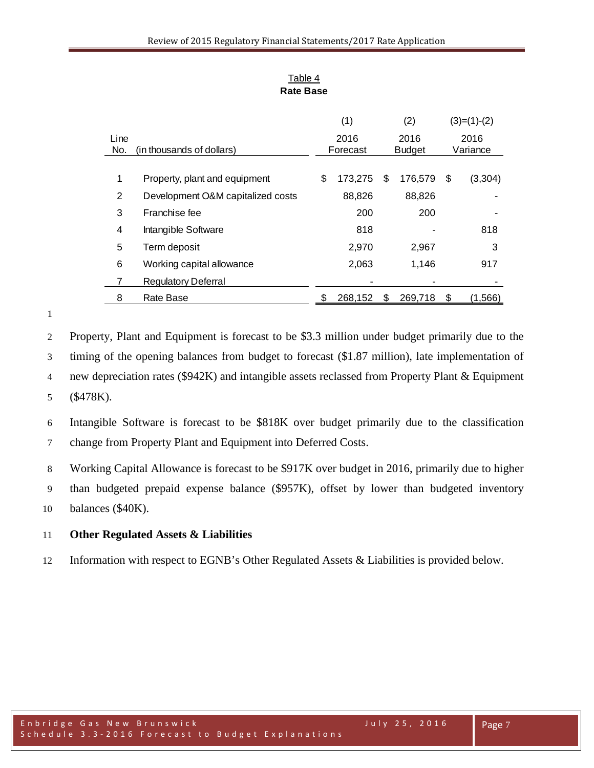| Table 4   |
|-----------|
| Rate Base |

|      |                                   | (1)<br>(2) |          |     | $(3)=(1)-(2)$ |    |         |  |          |
|------|-----------------------------------|------------|----------|-----|---------------|----|---------|--|----------|
| Line |                                   |            | 2016     |     | 2016          |    | 2016    |  |          |
| No.  | (in thousands of dollars)         |            | Forecast |     | <b>Budget</b> |    |         |  | Variance |
|      |                                   |            |          |     |               |    |         |  |          |
| 1    | Property, plant and equipment     | \$         | 173,275  | \$  | 176,579       | \$ | (3,304) |  |          |
| 2    | Development O&M capitalized costs |            | 88,826   |     | 88,826        |    |         |  |          |
| 3    | Franchise fee                     |            | 200      |     | 200           |    |         |  |          |
| 4    | Intangible Software               |            | 818      |     |               |    | 818     |  |          |
| 5    | Term deposit                      |            | 2,970    |     | 2,967         |    | 3       |  |          |
| 6    | Working capital allowance         |            | 2,063    |     | 1,146         |    | 917     |  |          |
|      | <b>Regulatory Deferral</b>        |            |          |     |               |    |         |  |          |
| 8    | Rate Base                         |            | 268,152  | \$. | 269,718       | \$ | (1,566) |  |          |

 Property, Plant and Equipment is forecast to be \$3.3 million under budget primarily due to the timing of the opening balances from budget to forecast (\$1.87 million), late implementation of new depreciation rates (\$942K) and intangible assets reclassed from Property Plant & Equipment (\$478K).

 Intangible Software is forecast to be \$818K over budget primarily due to the classification change from Property Plant and Equipment into Deferred Costs.

Working Capital Allowance is forecast to be \$917K over budget in 2016, primarily due to higher

than budgeted prepaid expense balance (\$957K), offset by lower than budgeted inventory

balances (\$40K).

## **Other Regulated Assets & Liabilities**

Information with respect to EGNB's Other Regulated Assets & Liabilities is provided below.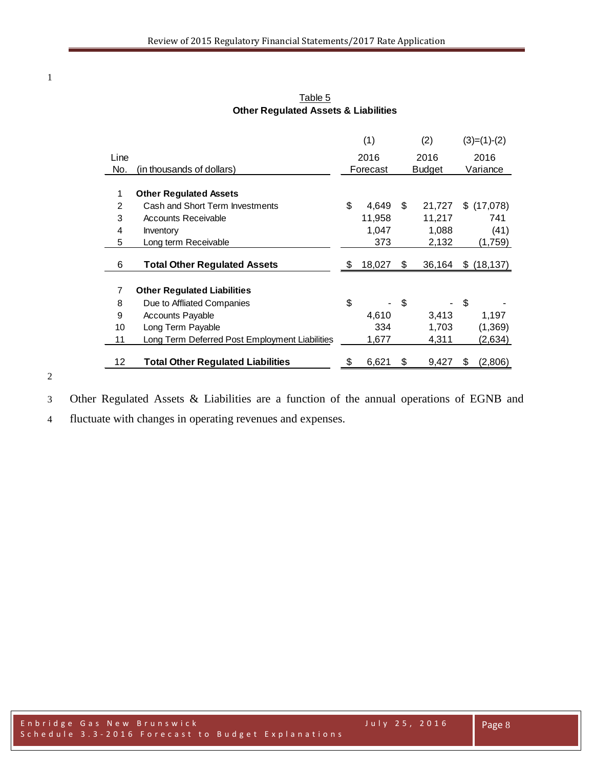|      |                                                | (1)          |    | (2)           | $(3)=(1)-(2)$   |
|------|------------------------------------------------|--------------|----|---------------|-----------------|
| Line |                                                | 2016         |    | 2016          | 2016            |
| No.  | (in thousands of dollars)                      | Forecast     |    | <b>Budget</b> | Variance        |
|      |                                                |              |    |               |                 |
| 1    | <b>Other Regulated Assets</b>                  |              |    |               |                 |
| 2    | Cash and Short Term Investments                | \$<br>4,649  | \$ | 21,727        | \$<br>(17,078)  |
| 3    | <b>Accounts Receivable</b>                     | 11,958       |    | 11,217        | 741             |
| 4    | <b>Inventory</b>                               | 1,047        |    | 1,088         | (41)            |
| 5    | Long term Receivable                           | 373          |    | 2,132         | (1,759)         |
|      |                                                |              |    |               |                 |
| 6    | <b>Total Other Regulated Assets</b>            | \$<br>18,027 | S  | 36,164        | \$<br>(18, 137) |
|      |                                                |              |    |               |                 |
| 7    | <b>Other Regulated Liabilities</b>             |              |    |               |                 |
| 8    | Due to Affliated Companies                     | \$           | \$ |               | \$              |
| 9    | <b>Accounts Payable</b>                        | 4,610        |    | 3,413         | 1,197           |
| 10   | Long Term Payable                              | 334          |    | 1,703         | (1, 369)        |
| 11   | Long Term Deferred Post Employment Liabilities | 1,677        |    | 4,311         | (2,634)         |
|      |                                                |              |    |               |                 |
| 12   | <b>Total Other Regulated Liabilities</b>       | \$<br>6,621  | \$ | 9,427         | \$<br>(2,806)   |

Table 5 **Other Regulated Assets & Liabilities**

# 

Other Regulated Assets & Liabilities are a function of the annual operations of EGNB and

fluctuate with changes in operating revenues and expenses.